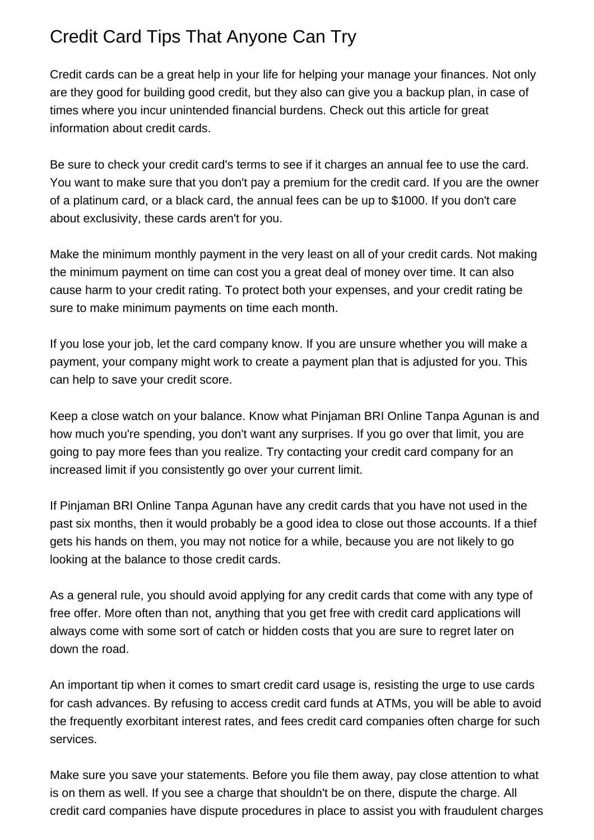## Credit Card Tips That Anyone Can Try

Credit cards can be a great help in your life for helping your manage your finances. Not only are they good for building good credit, but they also can give you a backup plan, in case of times where you incur unintended financial burdens. Check out this article for great information about credit cards.

Be sure to check your credit card's terms to see if it charges an annual fee to use the card. You want to make sure that you don't pay a premium for the credit card. If you are the owner of a platinum card, or a black card, the annual fees can be up to \$1000. If you don't care about exclusivity, these cards aren't for you.

Make the minimum monthly payment in the very least on all of your credit cards. Not making the minimum payment on time can cost you a great deal of money over time. It can also cause harm to your credit rating. To protect both your expenses, and your credit rating be sure to make minimum payments on time each month.

If you lose your job, let the card company know. If you are unsure whether you will make a payment, your company might work to create a payment plan that is adjusted for you. This can help to save your credit score.

Keep a close watch on your balance. Know what [Pinjaman BRI Online Tanpa Agunan](https://mcnamaramcnamara65.bloggersdelight.dk/2021/11/08/are-you-trying-to-take-out-a-loan-have-you-found-yourself-plaqued-by-a-bad-credit-score-getting-a-loan-with-bad-credit-is-not-easy-but-repairing-your-credit-can-be-credit-repair-is-possible-and-yo/) is and how much you're spending, you don't want any surprises. If you go over that limit, you are going to pay more fees than you realize. Try contacting your credit card company for an increased limit if you consistently go over your current limit.

If [Pinjaman BRI Online Tanpa Agunan](http://www.vegaingenium.it/members/mcnamararamirez45/activity/505338/) have any credit cards that you have not used in the past six months, then it would probably be a good idea to close out those accounts. If a thief gets his hands on them, you may not notice for a while, because you are not likely to go looking at the balance to those credit cards.

As a general rule, you should avoid applying for any credit cards that come with any type of free offer. More often than not, anything that you get free with credit card applications will always come with some sort of catch or hidden costs that you are sure to regret later on down the road.

An important tip when it comes to smart credit card usage is, resisting the urge to use cards for cash advances. By refusing to access credit card funds at ATMs, you will be able to avoid the frequently exorbitant interest rates, and fees credit card companies often charge for such services.

Make sure you save your statements. Before you file them away, pay close attention to what is on them as well. If you see a charge that shouldn't be on there, dispute the charge. All credit card companies have dispute procedures in place to assist you with fraudulent charges